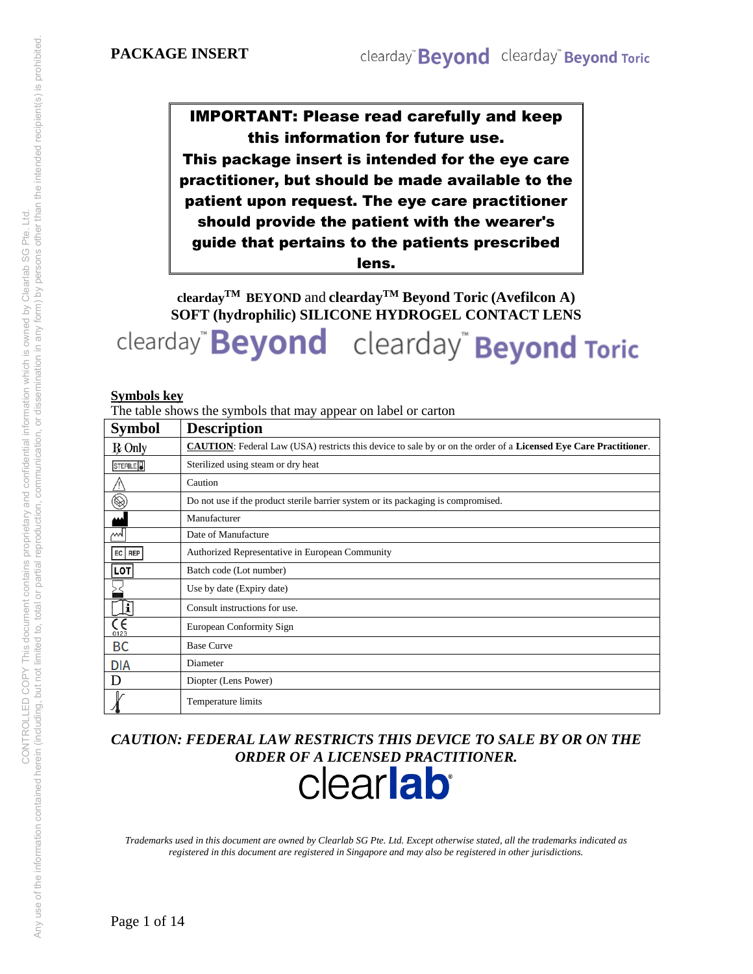# IMPORTANT: Please read carefully and keep this information for future use.

This package insert is intended for the eye care practitioner, but should be made available to the patient upon request. The eye care practitioner should provide the patient with the wearer's guide that pertains to the patients prescribed lens.

**cleardayTM BEYOND** and **cleardayTM Beyond Toric (Avefilcon A) SOFT (hydrophilic) SILICONE HYDROGEL CONTACT LENS** 

clearday" **Beyond** clearday" **Beyond Toric** 

#### **Symbols key**

The table shows the symbols that may appear on label or carton

| <b>Symbol</b>                 | <b>Description</b>                                                                                                      |
|-------------------------------|-------------------------------------------------------------------------------------------------------------------------|
| $R$ Only                      | <b>CAUTION:</b> Federal Law (USA) restricts this device to sale by or on the order of a Licensed Eye Care Practitioner. |
| STERILE <sup>1</sup>          | Sterilized using steam or dry heat                                                                                      |
| $\bigwedge$                   | Caution                                                                                                                 |
| $\circledR$                   | Do not use if the product sterile barrier system or its packaging is compromised.                                       |
|                               | Manufacturer                                                                                                            |
| М                             | Date of Manufacture                                                                                                     |
| EC   REP                      | Authorized Representative in European Community                                                                         |
| <b>LOT</b>                    | Batch code (Lot number)                                                                                                 |
|                               | Use by date (Expiry date)                                                                                               |
| Įī                            | Consult instructions for use.                                                                                           |
| $\overline{\epsilon}$<br>0123 | European Conformity Sign                                                                                                |
| BC                            | <b>Base Curve</b>                                                                                                       |
| <b>DIA</b>                    | Diameter                                                                                                                |
| D                             | Diopter (Lens Power)                                                                                                    |
|                               | Temperature limits                                                                                                      |

*CAUTION: FEDERAL LAW RESTRICTS THIS DEVICE TO SALE BY OR ON THE* 

# ORDER OF A LICENSED PRACTITIONER.

*Trademarks used in this document are owned by Clearlab SG Pte. Ltd. Except otherwise stated, all the trademarks indicated as registered in this document are registered in Singapore and may also be registered in other jurisdictions.*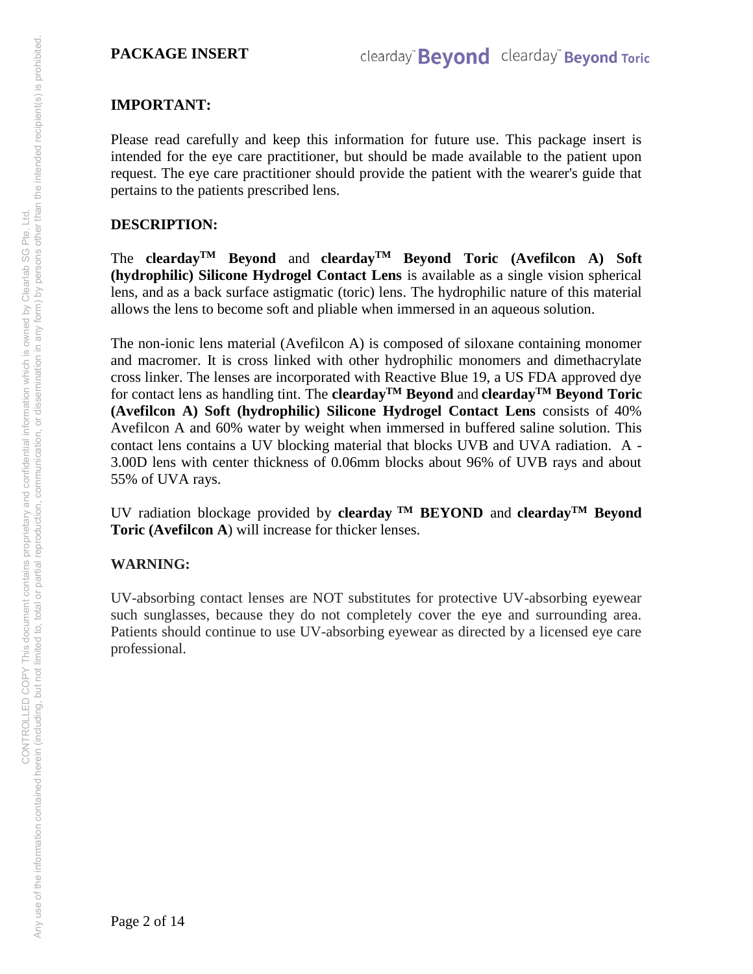## **IMPORTANT:**

Please read carefully and keep this information for future use. This package insert is intended for the eye care practitioner, but should be made available to the patient upon request. The eye care practitioner should provide the patient with the wearer's guide that pertains to the patients prescribed lens.

#### **DESCRIPTION:**

The **clearday**<sup>TM</sup> Beyond and **clearday**<sup>TM</sup> Beyond Toric (Avefilcon A) Soft **(hydrophilic) Silicone Hydrogel Contact Lens** is available as a single vision spherical lens, and as a back surface astigmatic (toric) lens. The hydrophilic nature of this material allows the lens to become soft and pliable when immersed in an aqueous solution.

The non-ionic lens material (Avefilcon A) is composed of siloxane containing monomer and macromer. It is cross linked with other hydrophilic monomers and dimethacrylate cross linker. The lenses are incorporated with Reactive Blue 19, a US FDA approved dye for contact lens as handling tint. The **cleardayTM Beyond** and **cleardayTM Beyond Toric (Avefilcon A) Soft (hydrophilic) Silicone Hydrogel Contact Lens** consists of 40% Avefilcon A and 60% water by weight when immersed in buffered saline solution. This contact lens contains a UV blocking material that blocks UVB and UVA radiation. A - 3.00D lens with center thickness of 0.06mm blocks about 96% of UVB rays and about 55% of UVA rays.

UV radiation blockage provided by **clearday TM BEYOND** and **cleardayTM Beyond Toric (Avefilcon A**) will increase for thicker lenses.

## **WARNING:**

UV-absorbing contact lenses are NOT substitutes for protective UV-absorbing eyewear such sunglasses, because they do not completely cover the eye and surrounding area. Patients should continue to use UV-absorbing eyewear as directed by a licensed eye care professional.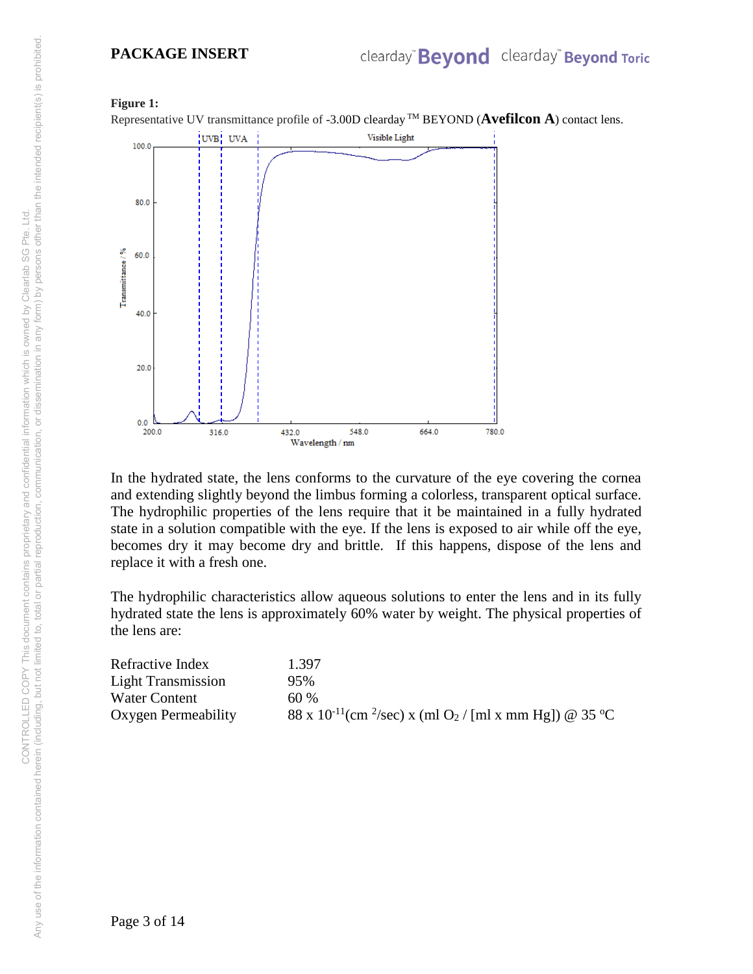#### **PACKAGE INSERT**

#### **Figure 1:**

Representative UV transmittance profile of -3.00D clearday TM BEYOND (**Avefilcon A**) contact lens.



In the hydrated state, the lens conforms to the curvature of the eye covering the cornea and extending slightly beyond the limbus forming a colorless, transparent optical surface. The hydrophilic properties of the lens require that it be maintained in a fully hydrated state in a solution compatible with the eye. If the lens is exposed to air while off the eye, becomes dry it may become dry and brittle. If this happens, dispose of the lens and replace it with a fresh one.

The hydrophilic characteristics allow aqueous solutions to enter the lens and in its fully hydrated state the lens is approximately 60% water by weight. The physical properties of the lens are:

| Refractive Index    | 1.397                                                                                      |
|---------------------|--------------------------------------------------------------------------------------------|
| Light Transmission  | 95%                                                                                        |
| Water Content       | 60%                                                                                        |
| Oxygen Permeability | 88 x 10 <sup>-11</sup> (cm <sup>2</sup> /sec) x (ml O <sub>2</sub> / [ml x mm Hg]) @ 35 °C |

Page 3 of 14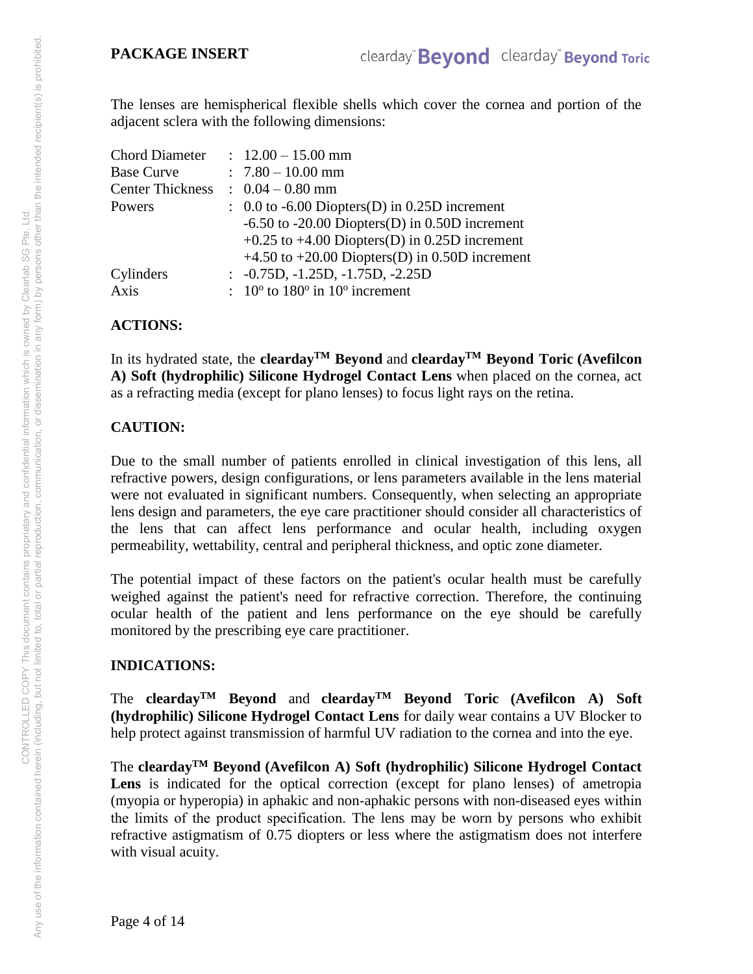The lenses are hemispherical flexible shells which cover the cornea and portion of the adjacent sclera with the following dimensions:

|                         | $: 12.00 - 15.00$ mm                                                          |
|-------------------------|-------------------------------------------------------------------------------|
|                         | $: 7.80 - 10.00$ mm                                                           |
| <b>Center Thickness</b> | $\therefore$ 0.04 – 0.80 mm                                                   |
|                         | $\therefore$ 0.0 to -6.00 Diopters(D) in 0.25D increment                      |
|                         | $-6.50$ to $-20.00$ Diopters(D) in 0.50D increment                            |
|                         | $+0.25$ to $+4.00$ Diopters(D) in 0.25D increment                             |
|                         | $+4.50$ to $+20.00$ Diopters(D) in 0.50D increment                            |
|                         | $\therefore$ -0.75D, -1.25D, -1.75D, -2.25D                                   |
|                         | $\therefore$ 10 <sup>o</sup> to 180 <sup>o</sup> in 10 <sup>o</sup> increment |
|                         |                                                                               |

## **ACTIONS:**

In its hydrated state, the **clearday**<sup>TM</sup> Beyond and **clearday**<sup>TM</sup> Beyond Toric (Avefilcon **A) Soft (hydrophilic) Silicone Hydrogel Contact Lens** when placed on the cornea, act as a refracting media (except for plano lenses) to focus light rays on the retina.

# **CAUTION:**

Due to the small number of patients enrolled in clinical investigation of this lens, all refractive powers, design configurations, or lens parameters available in the lens material were not evaluated in significant numbers. Consequently, when selecting an appropriate lens design and parameters, the eye care practitioner should consider all characteristics of the lens that can affect lens performance and ocular health, including oxygen permeability, wettability, central and peripheral thickness, and optic zone diameter.

The potential impact of these factors on the patient's ocular health must be carefully weighed against the patient's need for refractive correction. Therefore, the continuing ocular health of the patient and lens performance on the eye should be carefully monitored by the prescribing eye care practitioner.

## **INDICATIONS:**

The **cleardayTM Beyond** and **cleardayTM Beyond Toric (Avefilcon A) Soft (hydrophilic) Silicone Hydrogel Contact Lens** for daily wear contains a UV Blocker to help protect against transmission of harmful UV radiation to the cornea and into the eye.

The **cleardayTM Beyond (Avefilcon A) Soft (hydrophilic) Silicone Hydrogel Contact Lens** is indicated for the optical correction (except for plano lenses) of ametropia (myopia or hyperopia) in aphakic and non-aphakic persons with non-diseased eyes within the limits of the product specification. The lens may be worn by persons who exhibit refractive astigmatism of 0.75 diopters or less where the astigmatism does not interfere with visual acuity.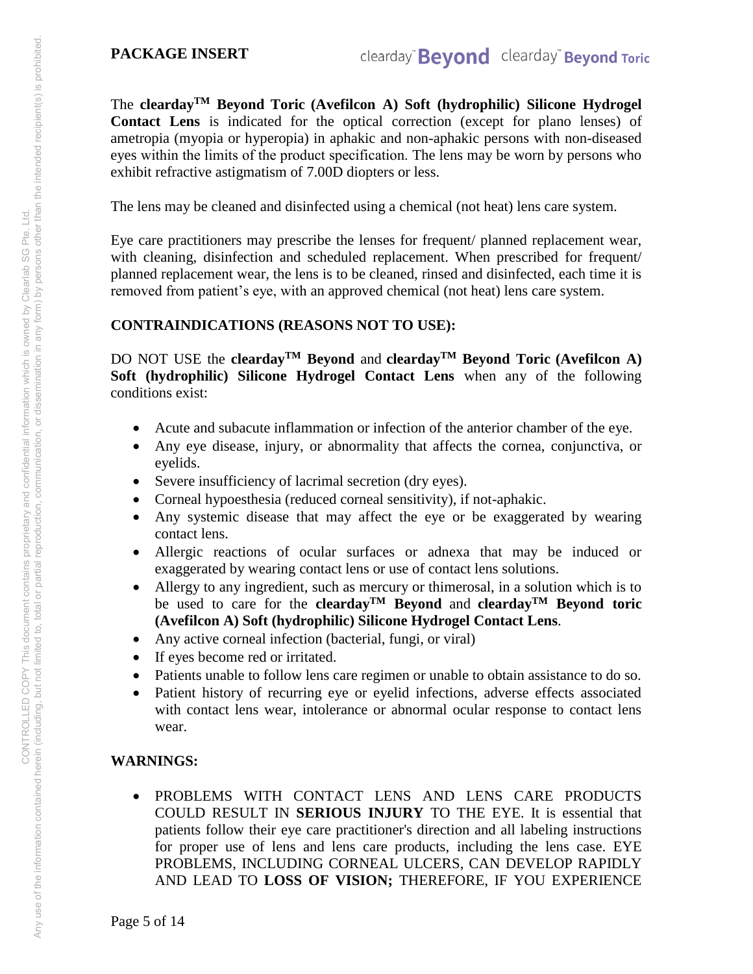The **cleardayTM Beyond Toric (Avefilcon A) Soft (hydrophilic) Silicone Hydrogel Contact Lens** is indicated for the optical correction (except for plano lenses) of ametropia (myopia or hyperopia) in aphakic and non-aphakic persons with non-diseased eyes within the limits of the product specification. The lens may be worn by persons who exhibit refractive astigmatism of 7.00D diopters or less.

The lens may be cleaned and disinfected using a chemical (not heat) lens care system.

Eye care practitioners may prescribe the lenses for frequent/ planned replacement wear, with cleaning, disinfection and scheduled replacement. When prescribed for frequent/ planned replacement wear, the lens is to be cleaned, rinsed and disinfected, each time it is removed from patient's eye, with an approved chemical (not heat) lens care system.

# **CONTRAINDICATIONS (REASONS NOT TO USE):**

DO NOT USE the **clearday**<sup>TM</sup> Beyond and **clearday**<sup>TM</sup> Beyond Toric (Avefilcon A) **Soft (hydrophilic) Silicone Hydrogel Contact Lens** when any of the following conditions exist:

- Acute and subacute inflammation or infection of the anterior chamber of the eye.
- Any eye disease, injury, or abnormality that affects the cornea, conjunctiva, or eyelids.
- Severe insufficiency of lacrimal secretion (dry eyes).
- Corneal hypoesthesia (reduced corneal sensitivity), if not-aphakic.
- Any systemic disease that may affect the eye or be exaggerated by wearing contact lens.
- Allergic reactions of ocular surfaces or adnexa that may be induced or exaggerated by wearing contact lens or use of contact lens solutions.
- Allergy to any ingredient, such as mercury or thimerosal, in a solution which is to be used to care for the **cleardayTM Beyond** and **cleardayTM Beyond toric (Avefilcon A) Soft (hydrophilic) Silicone Hydrogel Contact Lens**.
- Any active corneal infection (bacterial, fungi, or viral)
- If eyes become red or irritated.
- Patients unable to follow lens care regimen or unable to obtain assistance to do so.
- Patient history of recurring eye or eyelid infections, adverse effects associated with contact lens wear, intolerance or abnormal ocular response to contact lens wear.

# **WARNINGS:**

 PROBLEMS WITH CONTACT LENS AND LENS CARE PRODUCTS COULD RESULT IN **SERIOUS INJURY** TO THE EYE. It is essential that patients follow their eye care practitioner's direction and all labeling instructions for proper use of lens and lens care products, including the lens case. EYE PROBLEMS, INCLUDING CORNEAL ULCERS, CAN DEVELOP RAPIDLY AND LEAD TO **LOSS OF VISION;** THEREFORE, IF YOU EXPERIENCE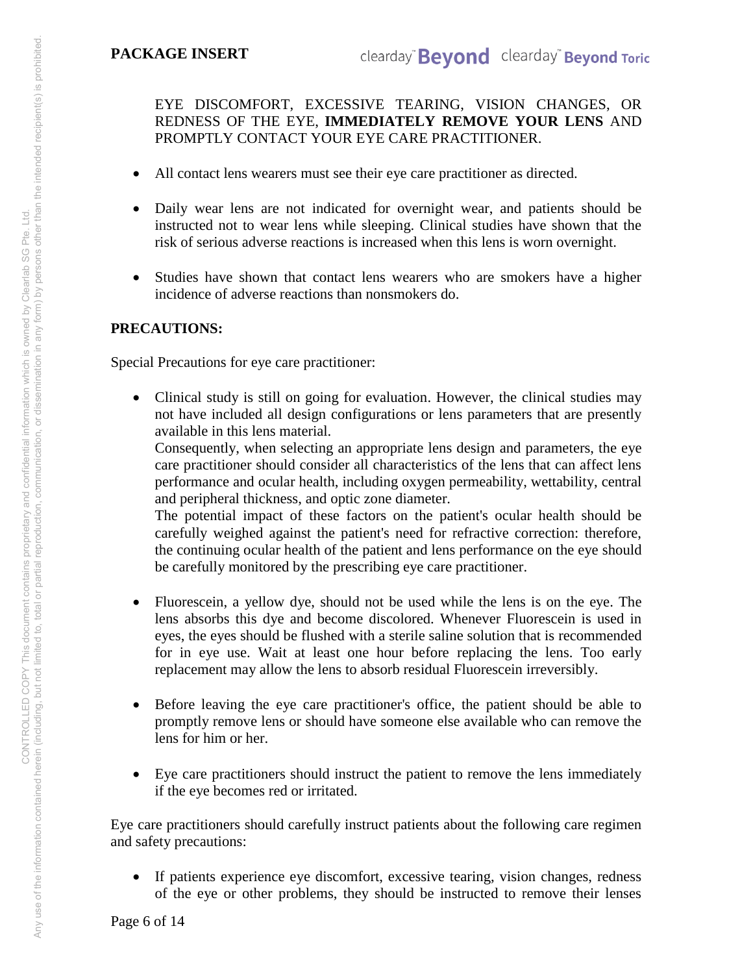EYE DISCOMFORT, EXCESSIVE TEARING, VISION CHANGES, OR REDNESS OF THE EYE, **IMMEDIATELY REMOVE YOUR LENS** AND PROMPTLY CONTACT YOUR EYE CARE PRACTITIONER.

- All contact lens wearers must see their eye care practitioner as directed.
- Daily wear lens are not indicated for overnight wear, and patients should be instructed not to wear lens while sleeping. Clinical studies have shown that the risk of serious adverse reactions is increased when this lens is worn overnight.
- Studies have shown that contact lens wearers who are smokers have a higher incidence of adverse reactions than nonsmokers do.

# **PRECAUTIONS:**

Special Precautions for eye care practitioner:

 Clinical study is still on going for evaluation. However, the clinical studies may not have included all design configurations or lens parameters that are presently available in this lens material.

Consequently, when selecting an appropriate lens design and parameters, the eye care practitioner should consider all characteristics of the lens that can affect lens performance and ocular health, including oxygen permeability, wettability, central and peripheral thickness, and optic zone diameter.

The potential impact of these factors on the patient's ocular health should be carefully weighed against the patient's need for refractive correction: therefore, the continuing ocular health of the patient and lens performance on the eye should be carefully monitored by the prescribing eye care practitioner.

- Fluorescein, a yellow dye, should not be used while the lens is on the eye. The lens absorbs this dye and become discolored. Whenever Fluorescein is used in eyes, the eyes should be flushed with a sterile saline solution that is recommended for in eye use. Wait at least one hour before replacing the lens. Too early replacement may allow the lens to absorb residual Fluorescein irreversibly.
- Before leaving the eye care practitioner's office, the patient should be able to promptly remove lens or should have someone else available who can remove the lens for him or her.
- Eye care practitioners should instruct the patient to remove the lens immediately if the eye becomes red or irritated.

Eye care practitioners should carefully instruct patients about the following care regimen and safety precautions:

 If patients experience eye discomfort, excessive tearing, vision changes, redness of the eye or other problems, they should be instructed to remove their lenses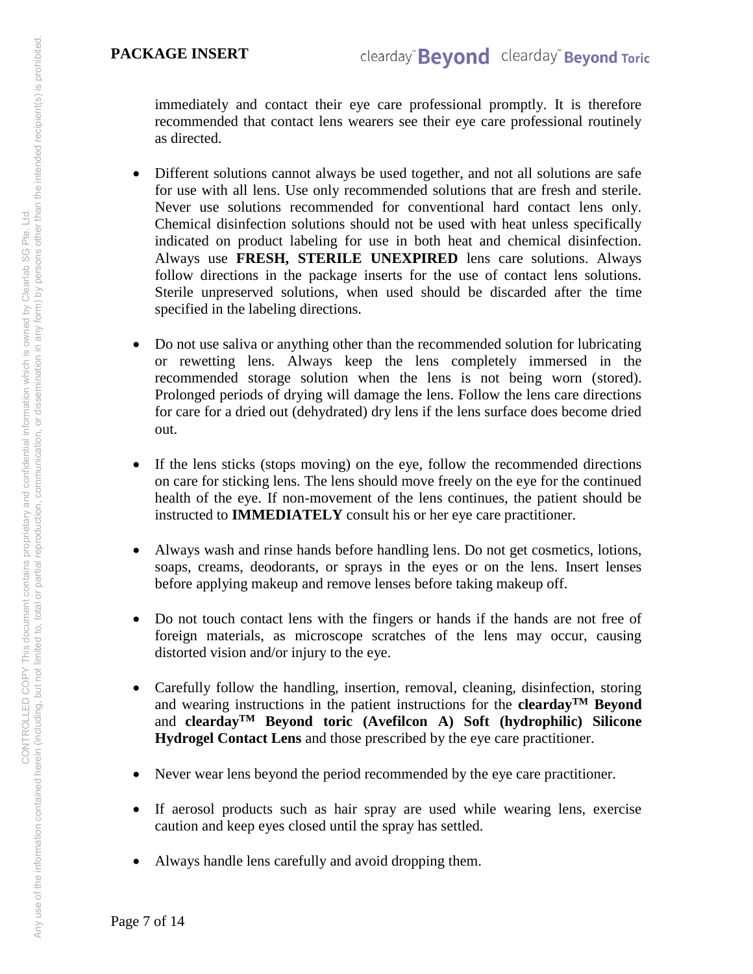immediately and contact their eye care professional promptly. It is therefore recommended that contact lens wearers see their eye care professional routinely as directed.

- Different solutions cannot always be used together, and not all solutions are safe for use with all lens. Use only recommended solutions that are fresh and sterile. Never use solutions recommended for conventional hard contact lens only. Chemical disinfection solutions should not be used with heat unless specifically indicated on product labeling for use in both heat and chemical disinfection. Always use **FRESH, STERILE UNEXPIRED** lens care solutions. Always follow directions in the package inserts for the use of contact lens solutions. Sterile unpreserved solutions, when used should be discarded after the time specified in the labeling directions.
- Do not use saliva or anything other than the recommended solution for lubricating or rewetting lens. Always keep the lens completely immersed in the recommended storage solution when the lens is not being worn (stored). Prolonged periods of drying will damage the lens. Follow the lens care directions for care for a dried out (dehydrated) dry lens if the lens surface does become dried out.
- If the lens sticks (stops moving) on the eye, follow the recommended directions on care for sticking lens. The lens should move freely on the eye for the continued health of the eye. If non-movement of the lens continues, the patient should be instructed to **IMMEDIATELY** consult his or her eye care practitioner.
- Always wash and rinse hands before handling lens. Do not get cosmetics, lotions, soaps, creams, deodorants, or sprays in the eyes or on the lens. Insert lenses before applying makeup and remove lenses before taking makeup off.
- Do not touch contact lens with the fingers or hands if the hands are not free of foreign materials, as microscope scratches of the lens may occur, causing distorted vision and/or injury to the eye.
- Carefully follow the handling, insertion, removal, cleaning, disinfection, storing and wearing instructions in the patient instructions for the **cleardayTM Beyond** and **cleardayTM Beyond toric (Avefilcon A) Soft (hydrophilic) Silicone Hydrogel Contact Lens** and those prescribed by the eye care practitioner.
- Never wear lens beyond the period recommended by the eye care practitioner.
- If aerosol products such as hair spray are used while wearing lens, exercise caution and keep eyes closed until the spray has settled.
- Always handle lens carefully and avoid dropping them.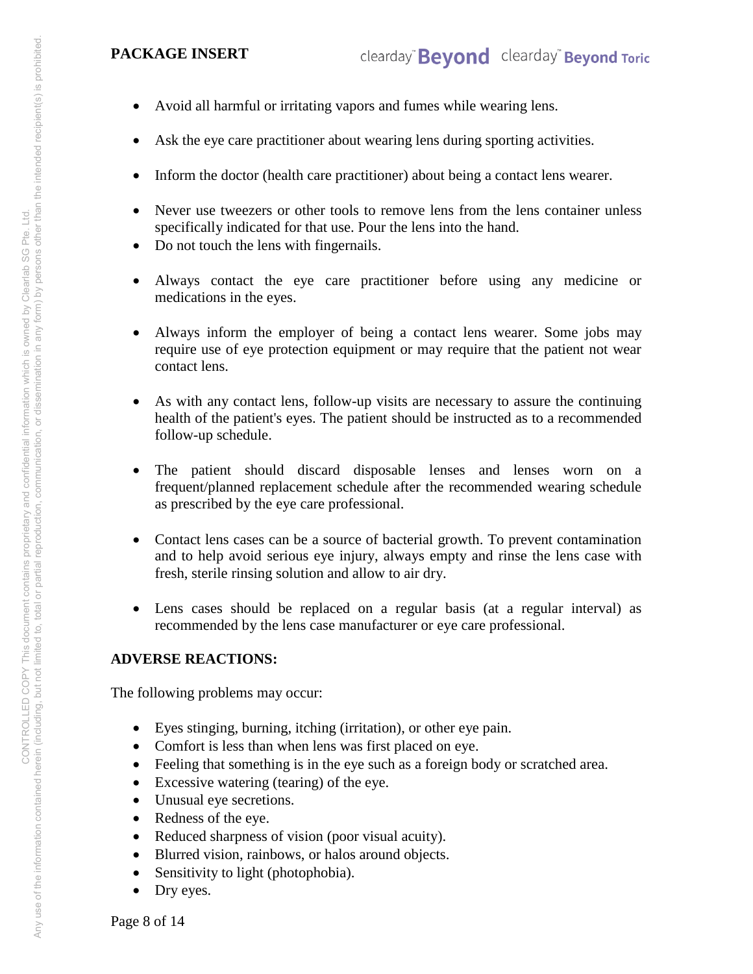- Avoid all harmful or irritating vapors and fumes while wearing lens.
- Ask the eye care practitioner about wearing lens during sporting activities.
- Inform the doctor (health care practitioner) about being a contact lens wearer.
- Never use tweezers or other tools to remove lens from the lens container unless specifically indicated for that use. Pour the lens into the hand.
- Do not touch the lens with fingernails.
- Always contact the eye care practitioner before using any medicine or medications in the eyes.
- Always inform the employer of being a contact lens wearer. Some jobs may require use of eye protection equipment or may require that the patient not wear contact lens.
- As with any contact lens, follow-up visits are necessary to assure the continuing health of the patient's eyes. The patient should be instructed as to a recommended follow-up schedule.
- The patient should discard disposable lenses and lenses worn on a frequent/planned replacement schedule after the recommended wearing schedule as prescribed by the eye care professional.
- Contact lens cases can be a source of bacterial growth. To prevent contamination and to help avoid serious eye injury, always empty and rinse the lens case with fresh, sterile rinsing solution and allow to air dry.
- Lens cases should be replaced on a regular basis (at a regular interval) as recommended by the lens case manufacturer or eye care professional.

## **ADVERSE REACTIONS:**

The following problems may occur:

- Eyes stinging, burning, itching (irritation), or other eye pain.
- Comfort is less than when lens was first placed on eye.
- Feeling that something is in the eye such as a foreign body or scratched area.
- Excessive watering (tearing) of the eye.
- Unusual eye secretions.
- Redness of the eye.
- Reduced sharpness of vision (poor visual acuity).
- Blurred vision, rainbows, or halos around objects.
- Sensitivity to light (photophobia).
- Dry eyes.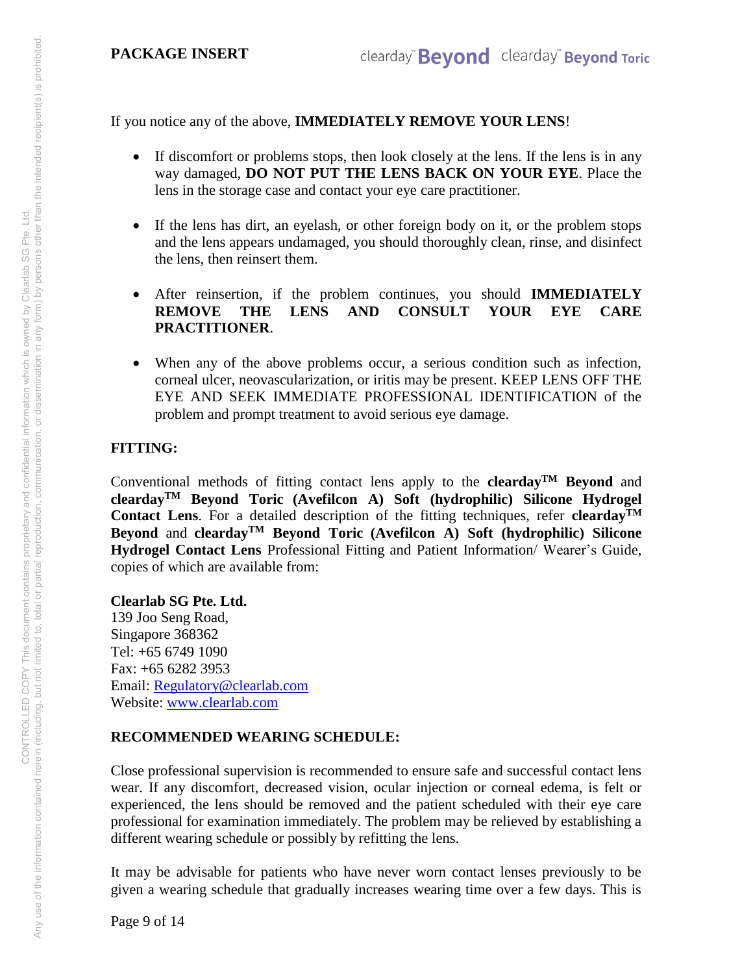If you notice any of the above, **IMMEDIATELY REMOVE YOUR LENS**!

- If discomfort or problems stops, then look closely at the lens. If the lens is in any way damaged, **DO NOT PUT THE LENS BACK ON YOUR EYE**. Place the lens in the storage case and contact your eye care practitioner.
- If the lens has dirt, an eyelash, or other foreign body on it, or the problem stops and the lens appears undamaged, you should thoroughly clean, rinse, and disinfect the lens, then reinsert them.
- After reinsertion, if the problem continues, you should **IMMEDIATELY REMOVE THE LENS AND CONSULT YOUR EYE CARE PRACTITIONER**.
- When any of the above problems occur, a serious condition such as infection, corneal ulcer, neovascularization, or iritis may be present. KEEP LENS OFF THE EYE AND SEEK IMMEDIATE PROFESSIONAL IDENTIFICATION of the problem and prompt treatment to avoid serious eye damage.

# **FITTING:**

Conventional methods of fitting contact lens apply to the **cleardayTM Beyond** and **cleardayTM Beyond Toric (Avefilcon A) Soft (hydrophilic) Silicone Hydrogel Contact Lens**. For a detailed description of the fitting techniques, refer **cleardayTM Beyond** and **cleardayTM Beyond Toric (Avefilcon A) Soft (hydrophilic) Silicone Hydrogel Contact Lens** Professional Fitting and Patient Information/ Wearer's Guide, copies of which are available from:

**Clearlab SG Pte. Ltd.** 

139 Joo Seng Road, Singapore 368362 Tel: +65 6749 1090 Fax: +65 6282 3953 Email: [Regulatory@clearlab.com](mailto:Regulatory@clearlab.com) Website: [www.clearlab.com](http://www.clearlab.com/)

## **RECOMMENDED WEARING SCHEDULE:**

Close professional supervision is recommended to ensure safe and successful contact lens wear. If any discomfort, decreased vision, ocular injection or corneal edema, is felt or experienced, the lens should be removed and the patient scheduled with their eye care professional for examination immediately. The problem may be relieved by establishing a different wearing schedule or possibly by refitting the lens.

It may be advisable for patients who have never worn contact lenses previously to be given a wearing schedule that gradually increases wearing time over a few days. This is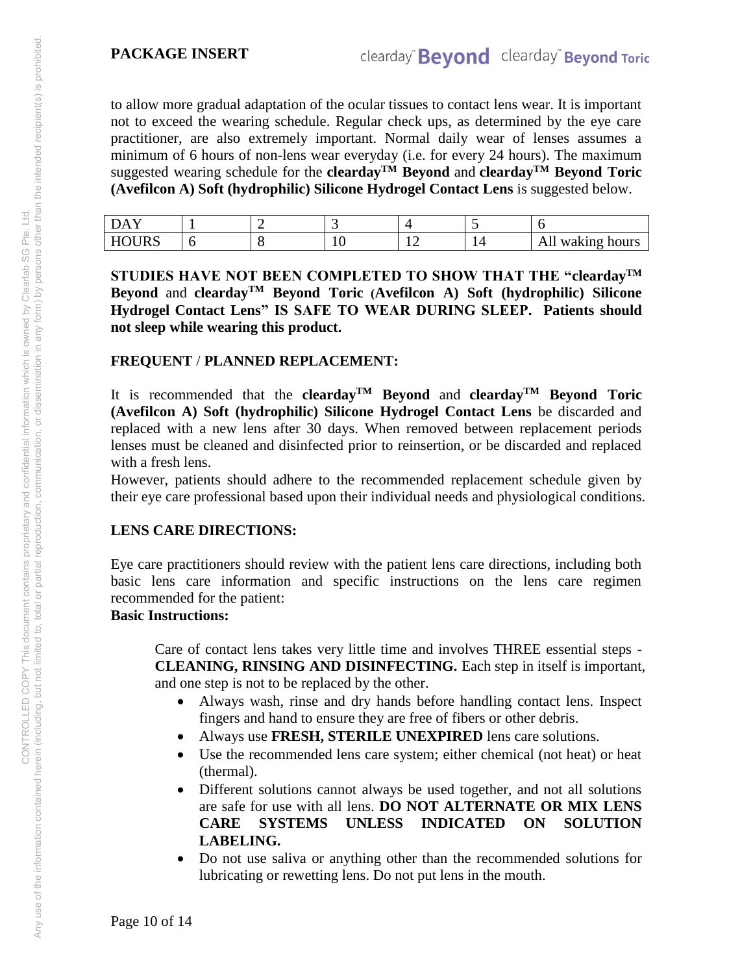to allow more gradual adaptation of the ocular tissues to contact lens wear. It is important not to exceed the wearing schedule. Regular check ups, as determined by the eye care practitioner, are also extremely important. Normal daily wear of lenses assumes a minimum of 6 hours of non-lens wear everyday (i.e. for every 24 hours). The maximum suggested wearing schedule for the **clearday**<sup>TM</sup> Beyond and **clearday**<sup>TM</sup> Beyond Toric **(Avefilcon A) Soft (hydrophilic) Silicone Hydrogel Contact Lens** is suggested below.

| $\overline{\phantom{a}}$<br>$\mathbf{A}$ |  |    |     | $\overline{\phantom{a}}$ |                     |
|------------------------------------------|--|----|-----|--------------------------|---------------------|
| <b>HOURS</b>                             |  | ⊥∪ | - - | <b>.</b>                 | All<br>waking hours |

**STUDIES HAVE NOT BEEN COMPLETED TO SHOW THAT THE "cleardayTM Beyond** and **cleardayTM Beyond Toric (Avefilcon A) Soft (hydrophilic) Silicone Hydrogel Contact Lens" IS SAFE TO WEAR DURING SLEEP. Patients should not sleep while wearing this product.** 

## **FREQUENT** / **PLANNED REPLACEMENT:**

It is recommended that the **cleardayTM Beyond** and **cleardayTM Beyond Toric (Avefilcon A) Soft (hydrophilic) Silicone Hydrogel Contact Lens** be discarded and replaced with a new lens after 30 days. When removed between replacement periods lenses must be cleaned and disinfected prior to reinsertion, or be discarded and replaced with a fresh lens.

However, patients should adhere to the recommended replacement schedule given by their eye care professional based upon their individual needs and physiological conditions.

## **LENS CARE DIRECTIONS:**

Eye care practitioners should review with the patient lens care directions, including both basic lens care information and specific instructions on the lens care regimen recommended for the patient:

## **Basic Instructions:**

Care of contact lens takes very little time and involves THREE essential steps - **CLEANING, RINSING AND DISINFECTING.** Each step in itself is important, and one step is not to be replaced by the other.

- Always wash, rinse and dry hands before handling contact lens. Inspect fingers and hand to ensure they are free of fibers or other debris.
- Always use **FRESH, STERILE UNEXPIRED** lens care solutions.
- Use the recommended lens care system; either chemical (not heat) or heat (thermal).
- Different solutions cannot always be used together, and not all solutions are safe for use with all lens. **DO NOT ALTERNATE OR MIX LENS CARE SYSTEMS UNLESS INDICATED ON SOLUTION LABELING.**
- Do not use saliva or anything other than the recommended solutions for lubricating or rewetting lens. Do not put lens in the mouth.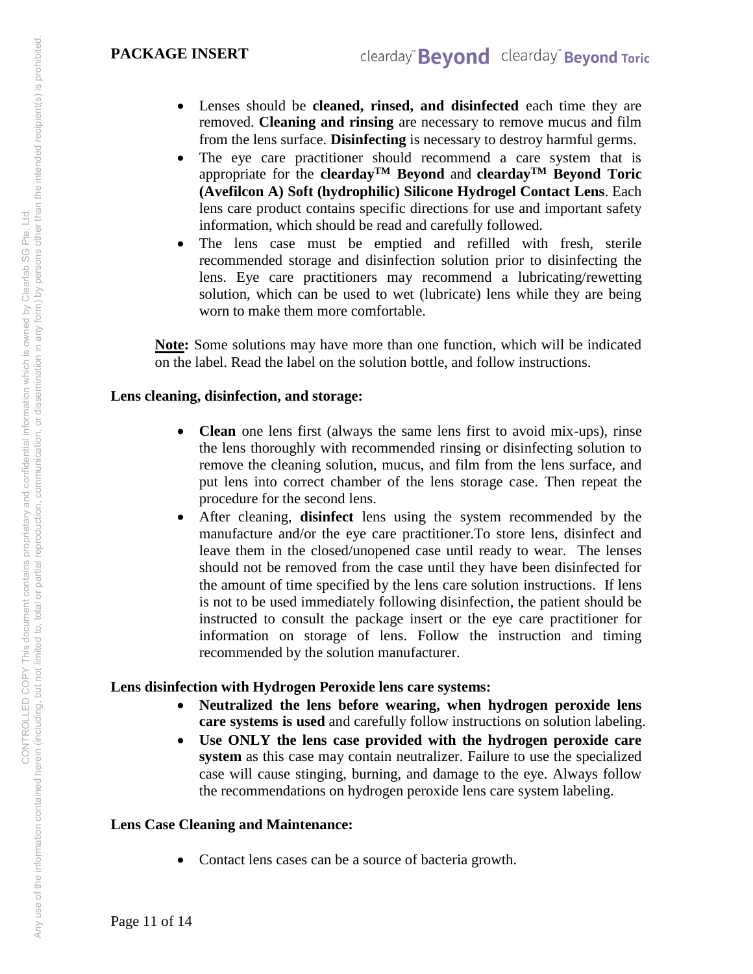#### **PACKAGE INSERT**

- Lenses should be **cleaned, rinsed, and disinfected** each time they are removed. **Cleaning and rinsing** are necessary to remove mucus and film from the lens surface. **Disinfecting** is necessary to destroy harmful germs.
- The eye care practitioner should recommend a care system that is appropriate for the **clearday**<sup>TM</sup> Beyond and **clearday**<sup>TM</sup> Beyond Toric **(Avefilcon A) Soft (hydrophilic) Silicone Hydrogel Contact Lens**. Each lens care product contains specific directions for use and important safety information, which should be read and carefully followed.
- The lens case must be emptied and refilled with fresh, sterile recommended storage and disinfection solution prior to disinfecting the lens. Eye care practitioners may recommend a lubricating/rewetting solution, which can be used to wet (lubricate) lens while they are being worn to make them more comfortable.

**Note:** Some solutions may have more than one function, which will be indicated on the label. Read the label on the solution bottle, and follow instructions.

#### **Lens cleaning, disinfection, and storage:**

- **Clean** one lens first (always the same lens first to avoid mix-ups), rinse the lens thoroughly with recommended rinsing or disinfecting solution to remove the cleaning solution, mucus, and film from the lens surface, and put lens into correct chamber of the lens storage case. Then repeat the procedure for the second lens.
- After cleaning, **disinfect** lens using the system recommended by the manufacture and/or the eye care practitioner.To store lens, disinfect and leave them in the closed/unopened case until ready to wear. The lenses should not be removed from the case until they have been disinfected for the amount of time specified by the lens care solution instructions. If lens is not to be used immediately following disinfection, the patient should be instructed to consult the package insert or the eye care practitioner for information on storage of lens. Follow the instruction and timing recommended by the solution manufacturer.

#### **Lens disinfection with Hydrogen Peroxide lens care systems:**

- **Neutralized the lens before wearing, when hydrogen peroxide lens care systems is used** and carefully follow instructions on solution labeling.
- **Use ONLY the lens case provided with the hydrogen peroxide care system** as this case may contain neutralizer. Failure to use the specialized case will cause stinging, burning, and damage to the eye. Always follow the recommendations on hydrogen peroxide lens care system labeling.

## **Lens Case Cleaning and Maintenance:**

• Contact lens cases can be a source of bacteria growth.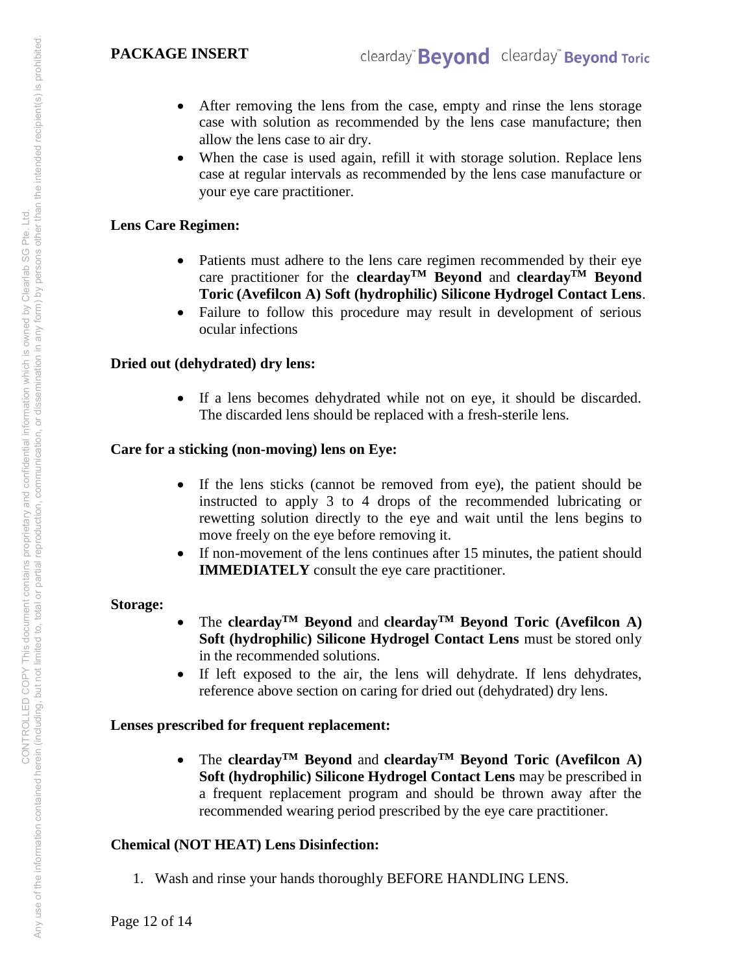- After removing the lens from the case, empty and rinse the lens storage case with solution as recommended by the lens case manufacture; then allow the lens case to air dry.
- When the case is used again, refill it with storage solution. Replace lens case at regular intervals as recommended by the lens case manufacture or your eye care practitioner.

#### **Lens Care Regimen:**

- Patients must adhere to the lens care regimen recommended by their eye care practitioner for the **cleardayTM Beyond** and **cleardayTM Beyond Toric (Avefilcon A) Soft (hydrophilic) Silicone Hydrogel Contact Lens**.
- Failure to follow this procedure may result in development of serious ocular infections

## **Dried out (dehydrated) dry lens:**

 If a lens becomes dehydrated while not on eye, it should be discarded. The discarded lens should be replaced with a fresh-sterile lens.

#### **Care for a sticking (non-moving) lens on Eye:**

- If the lens sticks (cannot be removed from eye), the patient should be instructed to apply 3 to 4 drops of the recommended lubricating or rewetting solution directly to the eye and wait until the lens begins to move freely on the eye before removing it.
- If non-movement of the lens continues after 15 minutes, the patient should **IMMEDIATELY** consult the eye care practitioner.

#### **Storage:**

- The **cleardayTM Beyond** and **cleardayTM Beyond Toric (Avefilcon A) Soft (hydrophilic) Silicone Hydrogel Contact Lens** must be stored only in the recommended solutions.
- If left exposed to the air, the lens will dehydrate. If lens dehydrates, reference above section on caring for dried out (dehydrated) dry lens.

## **Lenses prescribed for frequent replacement:**

 The **cleardayTM Beyond** and **cleardayTM Beyond Toric (Avefilcon A) Soft (hydrophilic) Silicone Hydrogel Contact Lens** may be prescribed in a frequent replacement program and should be thrown away after the recommended wearing period prescribed by the eye care practitioner.

## **Chemical (NOT HEAT) Lens Disinfection:**

1. Wash and rinse your hands thoroughly BEFORE HANDLING LENS.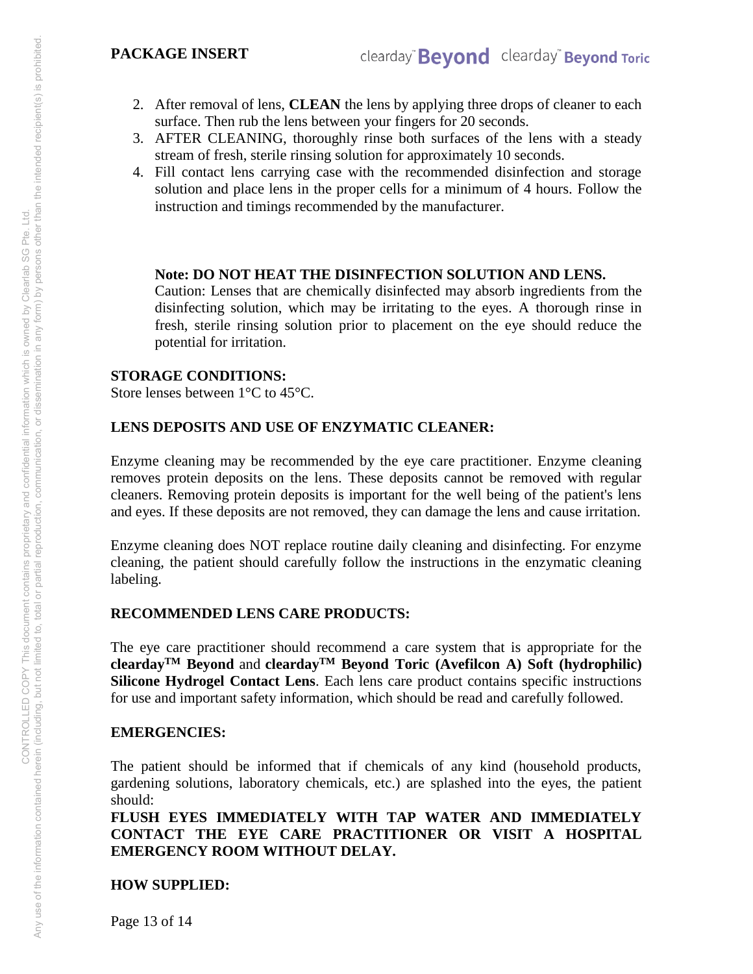#### **PACKAGE INSERT**

- 2. After removal of lens, **CLEAN** the lens by applying three drops of cleaner to each surface. Then rub the lens between your fingers for 20 seconds.
- 3. AFTER CLEANING, thoroughly rinse both surfaces of the lens with a steady stream of fresh, sterile rinsing solution for approximately 10 seconds.
- 4. Fill contact lens carrying case with the recommended disinfection and storage solution and place lens in the proper cells for a minimum of 4 hours. Follow the instruction and timings recommended by the manufacturer.

#### **Note: DO NOT HEAT THE DISINFECTION SOLUTION AND LENS.**

Caution: Lenses that are chemically disinfected may absorb ingredients from the disinfecting solution, which may be irritating to the eyes. A thorough rinse in fresh, sterile rinsing solution prior to placement on the eye should reduce the potential for irritation.

#### **STORAGE CONDITIONS:**

Store lenses between 1°C to 45°C.

## **LENS DEPOSITS AND USE OF ENZYMATIC CLEANER:**

Enzyme cleaning may be recommended by the eye care practitioner. Enzyme cleaning removes protein deposits on the lens. These deposits cannot be removed with regular cleaners. Removing protein deposits is important for the well being of the patient's lens and eyes. If these deposits are not removed, they can damage the lens and cause irritation.

Enzyme cleaning does NOT replace routine daily cleaning and disinfecting. For enzyme cleaning, the patient should carefully follow the instructions in the enzymatic cleaning labeling.

## **RECOMMENDED LENS CARE PRODUCTS:**

The eye care practitioner should recommend a care system that is appropriate for the **cleardayTM Beyond** and **cleardayTM Beyond Toric (Avefilcon A) Soft (hydrophilic) Silicone Hydrogel Contact Lens**. Each lens care product contains specific instructions for use and important safety information, which should be read and carefully followed.

## **EMERGENCIES:**

The patient should be informed that if chemicals of any kind (household products, gardening solutions, laboratory chemicals, etc.) are splashed into the eyes, the patient should:

**FLUSH EYES IMMEDIATELY WITH TAP WATER AND IMMEDIATELY CONTACT THE EYE CARE PRACTITIONER OR VISIT A HOSPITAL EMERGENCY ROOM WITHOUT DELAY.** 

## **HOW SUPPLIED:**

Page 13 of 14